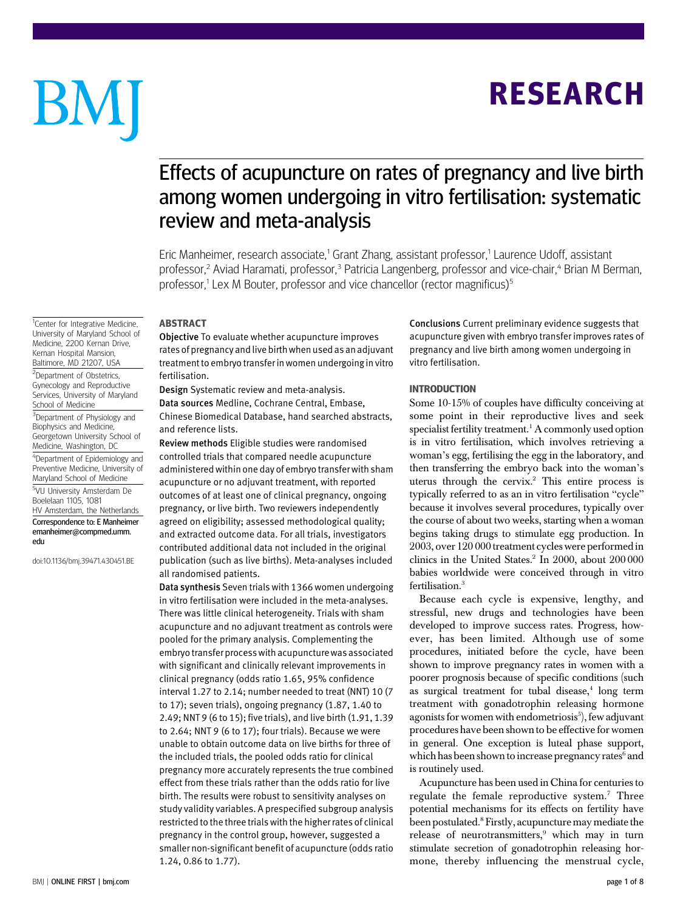# **RESEARCH** RESEARCH

# BM

# Effects of acupuncture on rates of pregnancy and live birth among women undergoing in vitro fertilisation: systematic review and meta-analysis

Eric Manheimer, research associate,<sup>1</sup> Grant Zhang, assistant professor,<sup>1</sup> Laurence Udoff, assistant professor,<sup>2</sup> Aviad Haramati, professor,<sup>3</sup> Patricia Langenberg, professor and vice-chair,<sup>4</sup> Brian M Berman, professor,<sup>1</sup> Lex M Bouter, professor and vice chancellor (rector magnificus)<sup>5</sup>

## **ABSTRACT**

and reference lists.

-----------<br>Objective To evaluate whether acupuncture improves rates of pregnancy and live birth when used as an adjuvant treatment to embryo transfer in women undergoing in vitro fertilisation.

Design Systematic review and meta-analysis. Data sources Medline, Cochrane Central, Embase, Chinese Biomedical Database, hand searched abstracts,

Review methods Eligible studies were randomised controlled trials that compared needle acupuncture administered within one day of embryo transfer with sham acupuncture or no adjuvant treatment, with reported outcomes of at least one of clinical pregnancy, ongoing pregnancy, or live birth. Two reviewers independently agreed on eligibility; assessed methodological quality; and extracted outcome data. For all trials, investigators contributed additional data not included in the original publication (such as live births). Meta-analyses included all randomised patients.

Data synthesis Seven trials with 1366 women undergoing in vitro fertilisation were included in the meta-analyses. There was little clinical heterogeneity. Trials with sham acupuncture and no adjuvant treatment as controls were pooled for the primary analysis. Complementing the embryo transfer process with acupuncturewas associated with significant and clinically relevant improvements in clinical pregnancy (odds ratio 1.65, 95% confidence interval 1.27 to 2.14; number needed to treat (NNT) 10 (7 to 17); seven trials), ongoing pregnancy (1.87, 1.40 to 2.49; NNT 9 (6 to 15); five trials), and live birth (1.91, 1.39 to 2.64; NNT 9 (6 to 17); four trials). Because we were unable to obtain outcome data on live births for three of the included trials, the pooled odds ratio for clinical pregnancy more accurately represents the true combined effect from these trials rather than the odds ratio for live birth. The results were robust to sensitivity analyses on study validity variables. A prespecified subgroup analysis restricted to the three trials with the higher rates of clinical pregnancy in the control group, however, suggested a smaller non-significant benefit of acupuncture (odds ratio 1.24, 0.86 to 1.77).

Conclusions Current preliminary evidence suggests that acupuncture given with embryo transfer improves rates of pregnancy and live birth among women undergoing in vitro fertilisation.

#### **INTRODUCTION**

Some 10-15% of couples have difficulty conceiving at some point in their reproductive lives and seek specialist fertility treatment.<sup>1</sup> A commonly used option is in vitro fertilisation, which involves retrieving a woman's egg, fertilising the egg in the laboratory, and then transferring the embryo back into the woman's uterus through the cervix.<sup>2</sup> This entire process is typically referred to as an in vitro fertilisation "cycle" because it involves several procedures, typically over the course of about two weeks, starting when a woman begins taking drugs to stimulate egg production. In 2003, over 120 000 treatment cycles were performed in clinics in the United States.<sup>2</sup> In 2000, about 200 000 babies worldwide were conceived through in vitro fertilisation.<sup>3</sup>

Because each cycle is expensive, lengthy, and stressful, new drugs and technologies have been developed to improve success rates. Progress, however, has been limited. Although use of some procedures, initiated before the cycle, have been shown to improve pregnancy rates in women with a poorer prognosis because of specific conditions (such as surgical treatment for tubal disease, $4$  long term treatment with gonadotrophin releasing hormone agonists for women with endometriosis<sup>5</sup>), few adjuvant procedures have been shown to be effective for women in general. One exception is luteal phase support, which has been shown to increase pregnancy rates<sup>6</sup> and is routinely used.

Acupuncture has been used in China for centuries to regulate the female reproductive system.<sup>7</sup> Three potential mechanisms for its effects on fertility have been postulated.8 Firstly, acupuncture may mediate the release of neurotransmitters,<sup>9</sup> which may in turn stimulate secretion of gonadotrophin releasing hormone, thereby influencing the menstrual cycle,

<sup>1</sup>Center for Integrative Medicine, University of Maryland School of Medicine, 2200 Kernan Drive, Kernan Hospital Mansion, Baltimore, MD 21207, USA

<sup>2</sup>Department of Obstetrics, Gynecology and Reproductive Services, University of Maryland School of Medicine

<sup>3</sup>Department of Physiology and Biophysics and Medicine, Georgetown University School of Medicine, Washington, DC 4 Department of Epidemiology and Preventive Medicine, University of Maryland School of Medicine 5 VU University Amsterdam De Boelelaan 1105, 1081 HV Amsterdam, the Netherlands Correspondence to: E Manheimer emanheimer@compmed.umm. edu

doi:10.1136/bmj.39471.430451.BE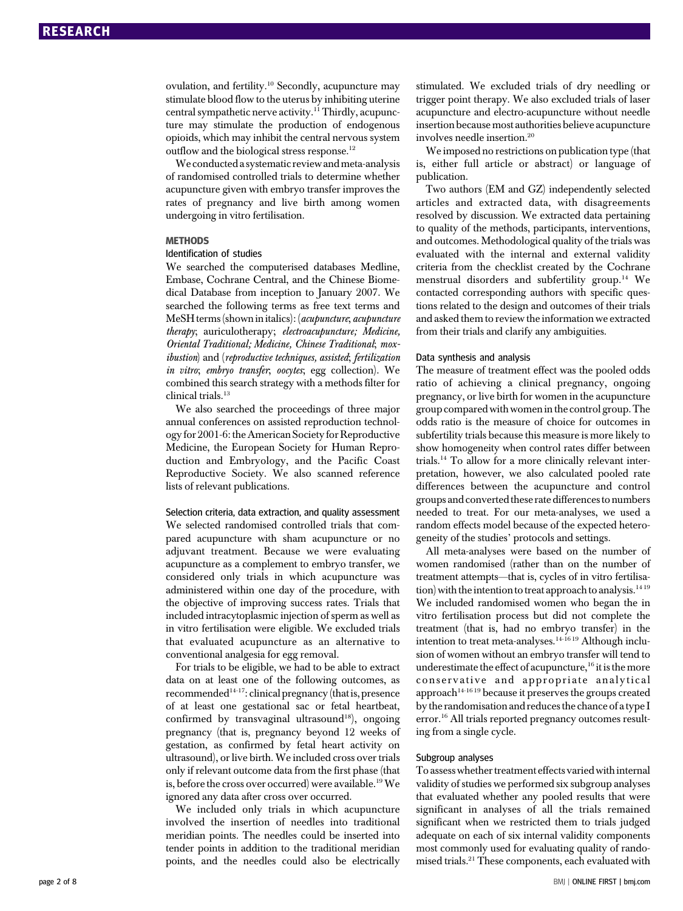ovulation, and fertility.10 Secondly, acupuncture may stimulate blood flow to the uterus by inhibiting uterine central sympathetic nerve activity.11 Thirdly, acupuncture may stimulate the production of endogenous opioids, which may inhibit the central nervous system outflow and the biological stress response.12

We conducted a systematic review and meta-analysis of randomised controlled trials to determine whether acupuncture given with embryo transfer improves the rates of pregnancy and live birth among women undergoing in vitro fertilisation.

#### **METHODS**

## Identification of studies

We searched the computerised databases Medline, Embase, Cochrane Central, and the Chinese Biomedical Database from inception to January 2007. We searched the following terms as free text terms and MeSH terms (shown in italics): (*acupuncture*; *acupuncture* therapy; auriculotherapy; electroacupuncture; Medicine, Oriental Traditional; Medicine, Chinese Traditional; moxibustion) and (reproductive techniques, assisted; fertilization in vitro; embryo transfer; oocytes; egg collection). We combined this search strategy with a methods filter for clinical trials.13

We also searched the proceedings of three major annual conferences on assisted reproduction technology for 2001-6: the American Society for Reproductive Medicine, the European Society for Human Reproduction and Embryology, and the Pacific Coast Reproductive Society. We also scanned reference lists of relevant publications.

Selection criteria, data extraction, and quality assessment We selected randomised controlled trials that compared acupuncture with sham acupuncture or no adjuvant treatment. Because we were evaluating acupuncture as a complement to embryo transfer, we considered only trials in which acupuncture was administered within one day of the procedure, with the objective of improving success rates. Trials that included intracytoplasmic injection of sperm as well as in vitro fertilisation were eligible. We excluded trials that evaluated acupuncture as an alternative to conventional analgesia for egg removal.

For trials to be eligible, we had to be able to extract data on at least one of the following outcomes, as recommended<sup>14-17</sup>: clinical pregnancy (that is, presence of at least one gestational sac or fetal heartbeat, confirmed by transvaginal ultrasound<sup>18</sup>), ongoing pregnancy (that is, pregnancy beyond 12 weeks of gestation, as confirmed by fetal heart activity on ultrasound), or live birth. We included cross over trials only if relevant outcome data from the first phase (that is, before the cross over occurred) were available.<sup>19</sup> We ignored any data after cross over occurred.

We included only trials in which acupuncture involved the insertion of needles into traditional meridian points. The needles could be inserted into tender points in addition to the traditional meridian points, and the needles could also be electrically stimulated. We excluded trials of dry needling or trigger point therapy. We also excluded trials of laser acupuncture and electro-acupuncture without needle insertion because most authorities believe acupuncture involves needle insertion.20

We imposed no restrictions on publication type (that is, either full article or abstract) or language of publication.

Two authors (EM and GZ) independently selected articles and extracted data, with disagreements resolved by discussion. We extracted data pertaining to quality of the methods, participants, interventions, and outcomes. Methodological quality of the trials was evaluated with the internal and external validity criteria from the checklist created by the Cochrane menstrual disorders and subfertility group.<sup>14</sup> We contacted corresponding authors with specific questions related to the design and outcomes of their trials and asked them to review the information we extracted from their trials and clarify any ambiguities.

#### Data synthesis and analysis

The measure of treatment effect was the pooled odds ratio of achieving a clinical pregnancy, ongoing pregnancy, or live birth for women in the acupuncture group compared with women in the control group. The odds ratio is the measure of choice for outcomes in subfertility trials because this measure is more likely to show homogeneity when control rates differ between trials.14 To allow for a more clinically relevant interpretation, however, we also calculated pooled rate differences between the acupuncture and control groups and convertedthese rate differencesto numbers needed to treat. For our meta-analyses, we used a random effects model because of the expected heterogeneity of the studies' protocols and settings.

All meta-analyses were based on the number of women randomised (rather than on the number of treatment attempts—that is, cycles of in vitro fertilisation) with the intention to treat approach to analysis.<sup>14 19</sup> We included randomised women who began the in vitro fertilisation process but did not complete the treatment (that is, had no embryo transfer) in the intention to treat meta-analyses.14-16 19 Although inclusion of women without an embryo transfer will tend to underestimate the effect of acupuncture,<sup>16</sup> it is the more conservative and appropriate analytical approach $14-16 19$  because it preserves the groups created by the randomisation and reduces the chance of atype I error.<sup>16</sup> All trials reported pregnancy outcomes resulting from a single cycle.

#### Subgroup analyses

To assess whether treatment effects varied with internal validity of studies we performed six subgroup analyses that evaluated whether any pooled results that were significant in analyses of all the trials remained significant when we restricted them to trials judged adequate on each of six internal validity components most commonly used for evaluating quality of randomised trials.21 These components, each evaluated with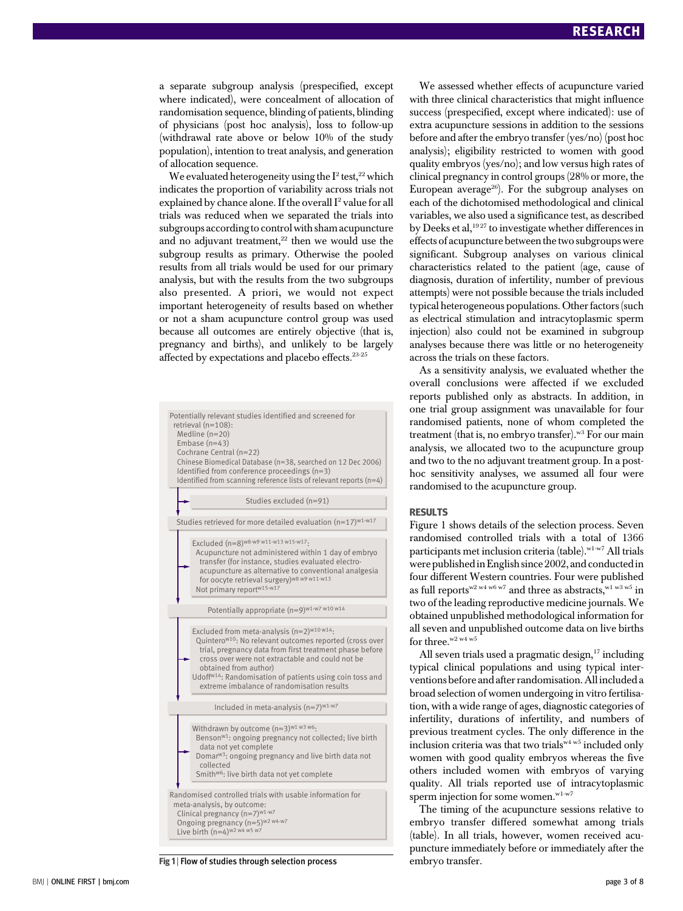a separate subgroup analysis (prespecified, except where indicated), were concealment of allocation of randomisation sequence, blinding of patients, blinding of physicians (post hoc analysis), loss to follow-up (withdrawal rate above or below 10% of the study population), intention to treat analysis, and generation of allocation sequence.

We evaluated heterogeneity using the  $I^2$  test,  $22$  which indicates the proportion of variability across trials not explained by chance alone. If the overall  $I^2$  value for all trials was reduced when we separated the trials into subgroups according to control with sham acupuncture and no adjuvant treatment, $22$  then we would use the subgroup results as primary. Otherwise the pooled results from all trials would be used for our primary analysis, but with the results from the two subgroups also presented. A priori, we would not expect important heterogeneity of results based on whether or not a sham acupuncture control group was used because all outcomes are entirely objective (that is, pregnancy and births), and unlikely to be largely affected by expectations and placebo effects.23-25



Fig 1 | Flow of studies through selection process

We assessed whether effects of acupuncture varied with three clinical characteristics that might influence success (prespecified, except where indicated): use of extra acupuncture sessions in addition to the sessions before and after the embryo transfer (yes/no) (post hoc analysis); eligibility restricted to women with good quality embryos (yes/no); and low versus high rates of clinical pregnancy in control groups (28% or more, the European average<sup>26</sup>). For the subgroup analyses on each of the dichotomised methodological and clinical variables, we also used a significance test, as described by Deeks et al,<sup>1927</sup> to investigate whether differences in effects of acupuncture between the two subgroups were significant. Subgroup analyses on various clinical characteristics related to the patient (age, cause of diagnosis, duration of infertility, number of previous attempts) were not possible because the trials included typical heterogeneous populations. Other factors (such as electrical stimulation and intracytoplasmic sperm injection) also could not be examined in subgroup analyses because there was little or no heterogeneity across the trials on these factors.

As a sensitivity analysis, we evaluated whether the overall conclusions were affected if we excluded reports published only as abstracts. In addition, in one trial group assignment was unavailable for four randomised patients, none of whom completed the treatment (that is, no embryo transfer).<sup>w3</sup> For our main analysis, we allocated two to the acupuncture group and two to the no adjuvant treatment group. In a posthoc sensitivity analyses, we assumed all four were randomised to the acupuncture group.

#### **RESIII TS**

.........<br>Figure 1 shows details of the selection process. Seven randomised controlled trials with a total of 1366 participants met inclusion criteria (table).<sup>w1-w7</sup> All trials were published in English since 2002, and conducted in four different Western countries. Four were published as full reports<sup>w2 w4 w6 w7</sup> and three as abstracts, w<sup>1 w3 w5</sup> in two of the leading reproductive medicine journals. We obtained unpublished methodological information for all seven and unpublished outcome data on live births for three. $w_2$  w<sub>4</sub> w<sub>5</sub>

All seven trials used a pragmatic design,<sup>17</sup> including typical clinical populations and using typical interventions before and after randomisation. All included a broad selection of women undergoing in vitro fertilisation, with a wide range of ages, diagnostic categories of infertility, durations of infertility, and numbers of previous treatment cycles. The only difference in the inclusion criteria was that two trials  $\mathbf{w}^{4}$  w<sup>5</sup> included only women with good quality embryos whereas the five others included women with embryos of varying quality. All trials reported use of intracytoplasmic sperm injection for some women.<sup>w1-w7</sup>

The timing of the acupuncture sessions relative to embryo transfer differed somewhat among trials (table). In all trials, however, women received acupuncture immediately before or immediately after the embryo transfer.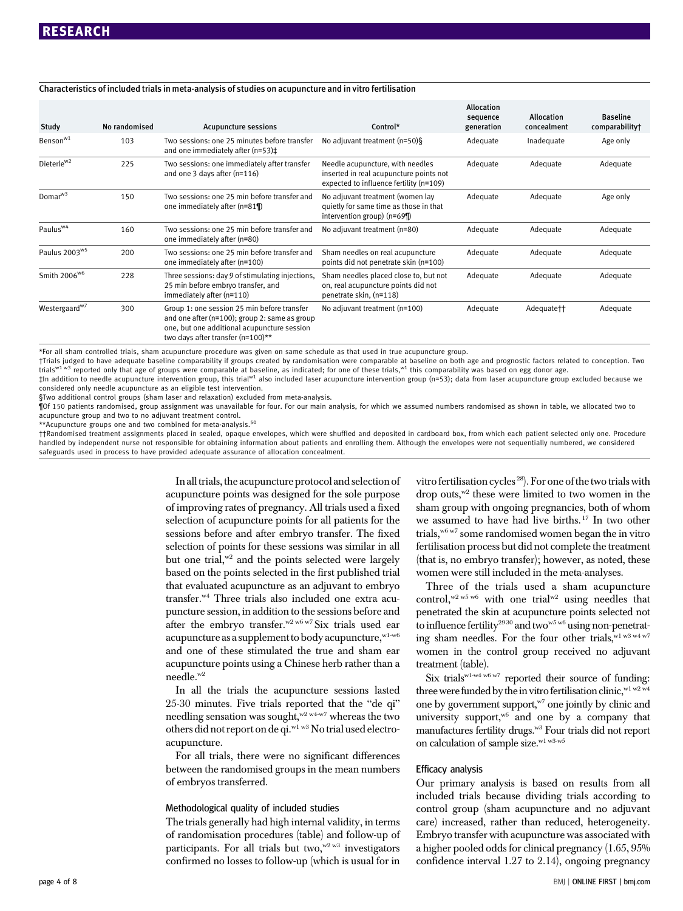| Study                     | No randomised | <b>Acupuncture sessions</b>                                                                                                                                                      | Control*                                                                                                               | Allocation<br>sequence<br>generation | Allocation<br>concealment | <b>Baseline</b><br>comparability† |
|---------------------------|---------------|----------------------------------------------------------------------------------------------------------------------------------------------------------------------------------|------------------------------------------------------------------------------------------------------------------------|--------------------------------------|---------------------------|-----------------------------------|
| Benson <sup>w1</sup>      | 103           | Two sessions: one 25 minutes before transfer<br>and one immediately after $(n=53)$ <sup><math>\ddagger</math></sup>                                                              | No adjuvant treatment (n=50)§                                                                                          | Adequate                             | Inadequate                | Age only                          |
| Dieterle <sup>w2</sup>    | 225           | Two sessions: one immediately after transfer<br>and one $3$ days after (n= $116$ )                                                                                               | Needle acupuncture, with needles<br>inserted in real acupuncture points not<br>expected to influence fertility (n=109) | Adequate                             | Adequate                  | Adequate                          |
| Domar <sup>w3</sup>       | 150           | Two sessions: one 25 min before transfer and<br>one immediately after (n=81¶)                                                                                                    | No adjuvant treatment (women lay<br>quietly for same time as those in that<br>intervention group) $(n=69)$             | Adequate                             | Adequate                  | Age only                          |
| Paulus <sup>w4</sup>      | 160           | Two sessions: one 25 min before transfer and<br>one immediately after (n=80)                                                                                                     | No adjuvant treatment (n=80)                                                                                           | Adequate                             | Adequate                  | Adequate                          |
| Paulus 2003 <sup>w5</sup> | 200           | Two sessions: one 25 min before transfer and<br>one immediately after (n=100)                                                                                                    | Sham needles on real acupuncture<br>points did not penetrate skin (n=100)                                              | Adequate                             | Adequate                  | Adequate                          |
| Smith 2006 <sup>w6</sup>  | 228           | Three sessions: day 9 of stimulating injections,<br>25 min before embryo transfer, and<br>immediately after (n=110)                                                              | Sham needles placed close to, but not<br>on, real acupuncture points did not<br>penetrate skin, (n=118)                | Adequate                             | Adequate                  | Adequate                          |
| Westergaard <sup>w7</sup> | 300           | Group 1: one session 25 min before transfer<br>and one after (n=100); group 2: same as group<br>one, but one additional acupuncture session<br>two days after transfer (n=100)** | No adjuvant treatment (n=100)                                                                                          | Adequate                             | Adequate++                | Adequate                          |

Characteristics of included trials in meta-analysis of studies on acupuncture and in vitro fertilisation

\*For all sham controlled trials, sham acupuncture procedure was given on same schedule as that used in true acupuncture group.

†Trials judged to have adequate baseline comparability if groups created by randomisation were comparable at baseline on both age and prognostic factors related to conception. Two<br>trials<sup>w1 w3</sup> reported only that age of gr

‡In addition to needle acupuncture intervention group, this trialw1 also included laser acupuncture intervention group (n=53); data from laser acupuncture group excluded because we considered only needle acupuncture as an eligible test intervention.

§Two additional control groups (sham laser and relaxation) excluded from meta-analysis.

¶Of 150 patients randomised, group assignment was unavailable for four. For our main analysis, for which we assumed numbers randomised as shown in table, we allocated two to acupuncture group and two to no adjuvant treatment control.

\*\*Acupuncture groups one and two combined for meta-analysis.<sup>50</sup>

††Randomised treatment assignments placed in sealed, opaque envelopes, which were shuffled and deposited in cardboard box, from which each patient selected only one. Procedure handled by independent nurse not responsible for obtaining information about patients and enrolling them. Although the envelopes were not sequentially numbered, we considered safeguards used in process to have provided adequate assurance of allocation concealment.

> In all trials, the acupuncture protocol and selection of acupuncture points was designed for the sole purpose of improving rates of pregnancy. All trials used a fixed selection of acupuncture points for all patients for the sessions before and after embryo transfer. The fixed selection of points for these sessions was similar in all but one trial, $x^2$  and the points selected were largely based on the points selected in the first published trial that evaluated acupuncture as an adjuvant to embryo transfer.w4 Three trials also included one extra acupuncture session, in addition to the sessions before and after the embryo transfer.<sup>w2 w6 w7</sup> Six trials used ear acupuncture as a supplement to body acupuncture, $w_1-w_6$ and one of these stimulated the true and sham ear acupuncture points using a Chinese herb rather than a needle.w2

In all the trials the acupuncture sessions lasted 25-30 minutes. Five trials reported that the "de qi" needling sensation was sought,  $x^2 \times 4 \times 7$  whereas the two others did not report on de qi.<sup>w1 w3</sup> No trial used electroacupuncture.

For all trials, there were no significant differences between the randomised groups in the mean numbers of embryos transferred.

#### Methodological quality of included studies

The trials generally had high internal validity, in terms of randomisation procedures (table) and follow-up of participants. For all trials but two,  $w^2 w^3$  investigators confirmed no losses to follow-up (which is usual for in vitro fertilisation cycles<sup>28</sup>). For one of the two trials with drop outs, $x^2$  these were limited to two women in the sham group with ongoing pregnancies, both of whom we assumed to have had live births. <sup>17</sup> In two other trials,  $w_0$  w<sup>6 w7</sup> some randomised women began the in vitro fertilisation process but did not complete the treatment (that is, no embryo transfer); however, as noted, these women were still included in the meta-analyses.

Three of the trials used a sham acupuncture control,<sup>w2 w5 w6</sup> with one trial<sup>w2</sup> using needles that penetrated the skin at acupuncture points selected not to influence fertility<sup>2930</sup> and two<sup>w5 w6</sup> using non-penetrating sham needles. For the four other trials,  $W1 W3 W4 W7$ women in the control group received no adjuvant treatment (table).

Six trials<sup>w1-w4 w6 w7</sup> reported their source of funding: three were funded by the in vitro fertilisation clinic, w<sup>1 w2 w4</sup> one by government support,<sup>w7</sup> one jointly by clinic and university support, $w_6$  and one by a company that manufactures fertility drugs.<sup>w3</sup> Four trials did not report on calculation of sample size.<sup>w1 w3-w5</sup>

#### Efficacy analysis

Our primary analysis is based on results from all included trials because dividing trials according to control group (sham acupuncture and no adjuvant care) increased, rather than reduced, heterogeneity. Embryo transfer with acupuncture was associated with a higher pooled odds for clinical pregnancy (1.65, 95% confidence interval 1.27 to 2.14), ongoing pregnancy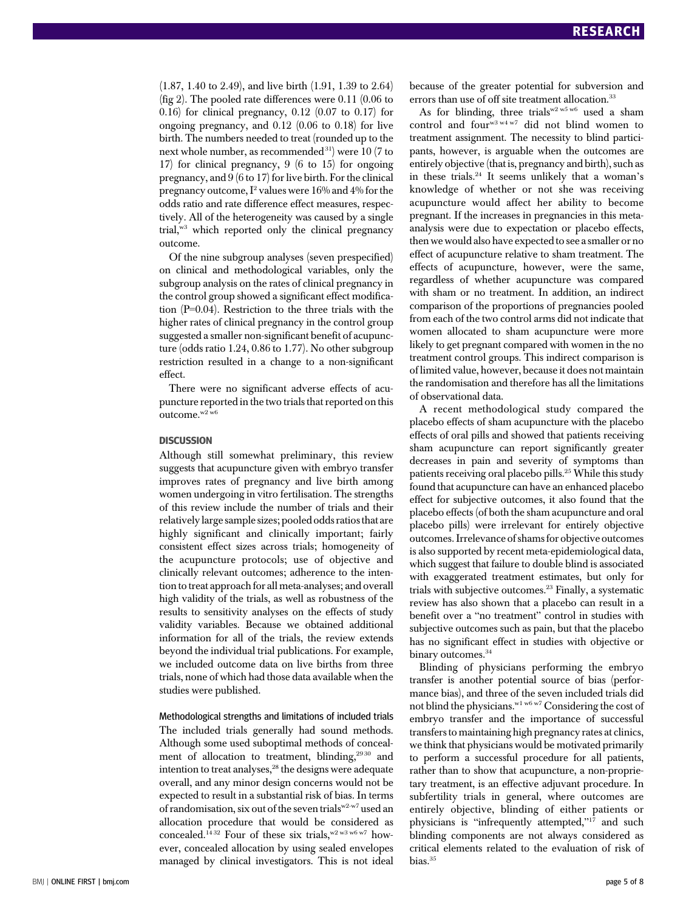(1.87, 1.40 to 2.49), and live birth (1.91, 1.39 to 2.64) (fig 2). The pooled rate differences were 0.11 (0.06 to 0.16) for clinical pregnancy, 0.12 (0.07 to 0.17) for ongoing pregnancy, and 0.12 (0.06 to 0.18) for live birth. The numbers needed to treat (rounded up to the next whole number, as recommended<sup>31</sup>) were 10 (7 to 17) for clinical pregnancy, 9 (6 to 15) for ongoing pregnancy, and 9 (6 to 17) for live birth. For the clinical pregnancy outcome,  $I^2$  values were 16% and 4% for the odds ratio and rate difference effect measures, respectively. All of the heterogeneity was caused by a single trial, $^{w3}$  which reported only the clinical pregnancy outcome.

Of the nine subgroup analyses (seven prespecified) on clinical and methodological variables, only the subgroup analysis on the rates of clinical pregnancy in the control group showed a significant effect modification (P=0.04). Restriction to the three trials with the higher rates of clinical pregnancy in the control group suggested a smaller non-significant benefit of acupuncture (odds ratio 1.24, 0.86 to 1.77). No other subgroup restriction resulted in a change to a non-significant effect.

There were no significant adverse effects of acupuncture reported in the two trials that reported on this outcome.<sup>w2 w6</sup>

Although still somewhat preliminary, this review suggests that acupuncture given with embryo transfer improves rates of pregnancy and live birth among women undergoing in vitro fertilisation. The strengths of this review include the number of trials and their relatively large sample sizes; pooled odds ratiosthat are highly significant and clinically important; fairly consistent effect sizes across trials; homogeneity of the acupuncture protocols; use of objective and clinically relevant outcomes; adherence to the intention to treat approach for all meta-analyses; and overall high validity of the trials, as well as robustness of the results to sensitivity analyses on the effects of study validity variables. Because we obtained additional information for all of the trials, the review extends beyond the individual trial publications. For example, we included outcome data on live births from three trials, none of which had those data available when the studies were published.

Methodological strengths and limitations of included trials The included trials generally had sound methods. Although some used suboptimal methods of concealment of allocation to treatment, blinding,<sup>2930</sup> and intention to treat analyses,<sup>28</sup> the designs were adequate overall, and any minor design concerns would not be expected to result in a substantial risk of bias. In terms of randomisation, six out of the seven trials<sup>w2-w7</sup> used an allocation procedure that would be considered as concealed.<sup>14 32</sup> Four of these six trials,  $x^{2}$  w<sup>3</sup> w<sup>6 w7</sup> however, concealed allocation by using sealed envelopes managed by clinical investigators. This is not ideal because of the greater potential for subversion and errors than use of off site treatment allocation.<sup>33</sup>

As for blinding, three trials<sup>w2 w5 w6</sup> used a sham control and four<sup>w3 w4 w7</sup> did not blind women to treatment assignment. The necessity to blind participants, however, is arguable when the outcomes are entirely objective (that is, pregnancy and birth), such as in these trials.24 It seems unlikely that a woman's knowledge of whether or not she was receiving acupuncture would affect her ability to become pregnant. If the increases in pregnancies in this metaanalysis were due to expectation or placebo effects, then we would also have expected to see a smaller or no effect of acupuncture relative to sham treatment. The effects of acupuncture, however, were the same, regardless of whether acupuncture was compared with sham or no treatment. In addition, an indirect comparison of the proportions of pregnancies pooled from each of the two control arms did not indicate that women allocated to sham acupuncture were more likely to get pregnant compared with women in the no treatment control groups. This indirect comparison is of limited value, however, because it does not maintain the randomisation and therefore has all the limitations of observational data.

A recent methodological study compared the placebo effects of sham acupuncture with the placebo effects of oral pills and showed that patients receiving sham acupuncture can report significantly greater decreases in pain and severity of symptoms than patients receiving oral placebo pills.<sup>25</sup> While this study found that acupuncture can have an enhanced placebo effect for subjective outcomes, it also found that the placebo effects (of both the sham acupuncture and oral placebo pills) were irrelevant for entirely objective outcomes. Irrelevance of shams for objective outcomes is also supported by recent meta-epidemiological data, which suggest that failure to double blind is associated with exaggerated treatment estimates, but only for trials with subjective outcomes.<sup>23</sup> Finally, a systematic review has also shown that a placebo can result in a benefit over a "no treatment" control in studies with subjective outcomes such as pain, but that the placebo has no significant effect in studies with objective or binary outcomes.<sup>34</sup>

Blinding of physicians performing the embryo transfer is another potential source of bias (performance bias), and three of the seven included trials did not blind the physicians.<sup>w1 w6 w7</sup> Considering the cost of embryo transfer and the importance of successful transfers to maintaining high pregnancy rates at clinics, we think that physicians would be motivated primarily to perform a successful procedure for all patients, rather than to show that acupuncture, a non-proprietary treatment, is an effective adjuvant procedure. In subfertility trials in general, where outcomes are entirely objective, blinding of either patients or physicians is "infrequently attempted,"<sup>17</sup> and such blinding components are not always considered as critical elements related to the evaluation of risk of bias.35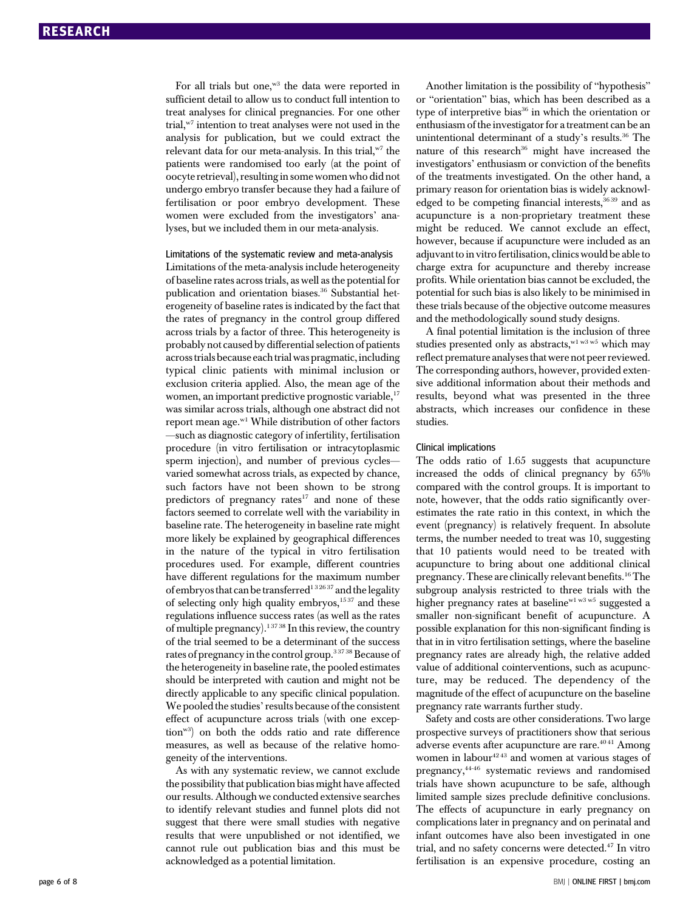For all trials but one, $^{w3}$  the data were reported in sufficient detail to allow us to conduct full intention to treat analyses for clinical pregnancies. For one other trial,<sup>w7</sup> intention to treat analyses were not used in the analysis for publication, but we could extract the relevant data for our meta-analysis. In this trial,<sup>w7</sup> the patients were randomised too early (at the point of oocyte retrieval), resulting in some women who did not undergo embryo transfer because they had a failure of fertilisation or poor embryo development. These women were excluded from the investigators' analyses, but we included them in our meta-analysis.

Limitations of the systematic review and meta-analysis Limitations of the meta-analysis include heterogeneity of baseline rates across trials, as well as the potential for publication and orientation biases.<sup>36</sup> Substantial heterogeneity of baseline rates is indicated by the fact that the rates of pregnancy in the control group differed across trials by a factor of three. This heterogeneity is probably not caused by differential selection of patients acrosstrials because eachtrial was pragmatic,including typical clinic patients with minimal inclusion or exclusion criteria applied. Also, the mean age of the women, an important predictive prognostic variable,<sup>17</sup> was similar across trials, although one abstract did not report mean age.<sup>w1</sup> While distribution of other factors —such as diagnostic category of infertility, fertilisation procedure (in vitro fertilisation or intracytoplasmic sperm injection), and number of previous cycles varied somewhat across trials, as expected by chance, such factors have not been shown to be strong predictors of pregnancy rates $17$  and none of these factors seemed to correlate well with the variability in baseline rate. The heterogeneity in baseline rate might more likely be explained by geographical differences in the nature of the typical in vitro fertilisation procedures used. For example, different countries have different regulations for the maximum number of embryos that can be transferred<sup>132637</sup> and the legality of selecting only high quality embryos,<sup>1537</sup> and these regulations influence success rates (as well as the rates of multiple pregnancy).<sup>13738</sup> In this review, the country of the trial seemed to be a determinant of the success rates of pregnancy in the control group.<sup>33738</sup> Because of the heterogeneity in baseline rate, the pooled estimates should be interpreted with caution and might not be directly applicable to any specific clinical population. We pooled the studies'results because of the consistent effect of acupuncture across trials (with one exceptionw3) on both the odds ratio and rate difference measures, as well as because of the relative homogeneity of the interventions.

As with any systematic review, we cannot exclude the possibility that publication bias might have affected our results. Although we conducted extensive searches to identify relevant studies and funnel plots did not suggest that there were small studies with negative results that were unpublished or not identified, we cannot rule out publication bias and this must be acknowledged as a potential limitation.

Another limitation is the possibility of "hypothesis" or "orientation" bias, which has been described as a type of interpretive bias $36$  in which the orientation or enthusiasm of the investigator for a treatment can be an unintentional determinant of a study's results.36 The nature of this research<sup>36</sup> might have increased the investigators' enthusiasm or conviction of the benefits of the treatments investigated. On the other hand, a primary reason for orientation bias is widely acknowledged to be competing financial interests,  $3639$  and as acupuncture is a non-proprietary treatment these might be reduced. We cannot exclude an effect, however, because if acupuncture were included as an adjuvant to in vitro fertilisation, clinics would be able to charge extra for acupuncture and thereby increase profits. While orientation bias cannot be excluded, the potential for such bias is also likely to be minimised in these trials because of the objective outcome measures and the methodologically sound study designs.

A final potential limitation is the inclusion of three studies presented only as abstracts, w<sub>1</sub> w<sub>3</sub> w<sub>5</sub> which may reflect premature analyses that were not peer reviewed. The corresponding authors, however, provided extensive additional information about their methods and results, beyond what was presented in the three abstracts, which increases our confidence in these studies.

#### Clinical implications

The odds ratio of 1.65 suggests that acupuncture increased the odds of clinical pregnancy by 65% compared with the control groups. It is important to note, however, that the odds ratio significantly overestimates the rate ratio in this context, in which the event (pregnancy) is relatively frequent. In absolute terms, the number needed to treat was 10, suggesting that 10 patients would need to be treated with acupuncture to bring about one additional clinical pregnancy. These are clinically relevant benefits.<sup>16</sup>The subgroup analysis restricted to three trials with the higher pregnancy rates at baseline<sup>w1 w3 w5</sup> suggested a smaller non-significant benefit of acupuncture. A possible explanation for this non-significant finding is that in in vitro fertilisation settings, where the baseline pregnancy rates are already high, the relative added value of additional cointerventions, such as acupuncture, may be reduced. The dependency of the magnitude of the effect of acupuncture on the baseline pregnancy rate warrants further study.

Safety and costs are other considerations. Two large prospective surveys of practitioners show that serious adverse events after acupuncture are rare.<sup>4041</sup> Among women in labour<sup>4243</sup> and women at various stages of pregnancy,44-46 systematic reviews and randomised trials have shown acupuncture to be safe, although limited sample sizes preclude definitive conclusions. The effects of acupuncture in early pregnancy on complications later in pregnancy and on perinatal and infant outcomes have also been investigated in one trial, and no safety concerns were detected.<sup>47</sup> In vitro fertilisation is an expensive procedure, costing an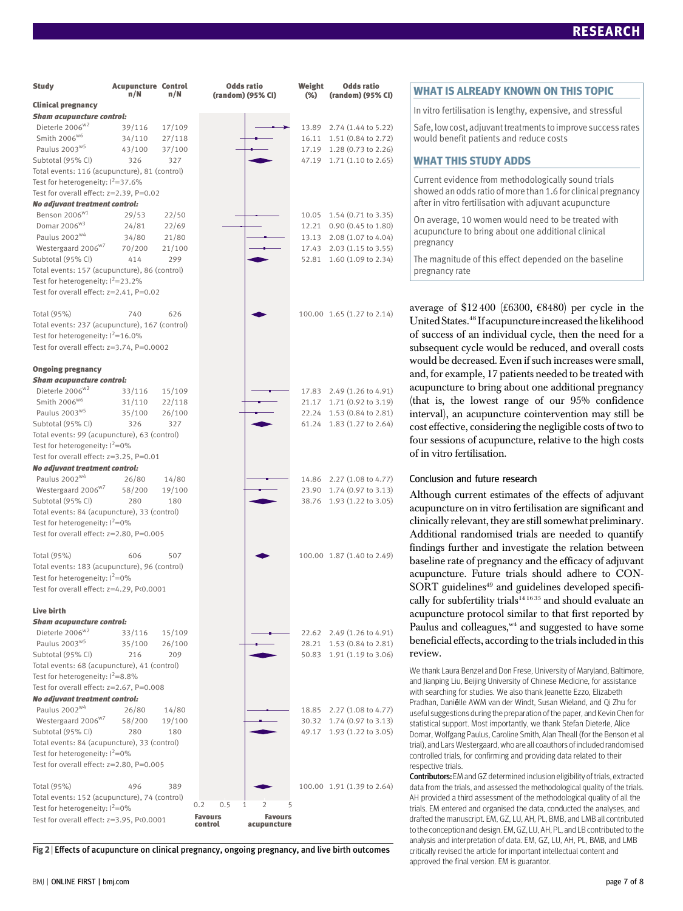| <b>Study</b>                                                                       | <b>Acupuncture Control</b><br>n/N | n/N           |                | <b>Odds ratio</b><br>(random) (95% CI) | Weight<br>$(\%)$ | <b>Odds ratio</b><br>(random) (95% CI)                        |
|------------------------------------------------------------------------------------|-----------------------------------|---------------|----------------|----------------------------------------|------------------|---------------------------------------------------------------|
| <b>Clinical pregnancy</b>                                                          |                                   |               |                |                                        |                  |                                                               |
| <b>Sham acupuncture control:</b>                                                   |                                   |               |                |                                        |                  |                                                               |
| Dieterle 2006 <sup>w2</sup>                                                        | 39/116                            | 17/109        |                |                                        | 13.89            | $2.74$ (1.44 to 5.22)                                         |
| Smith 2006 <sup>w6</sup><br>Paulus 2003 <sup>w5</sup>                              | 34/110                            | 27/118        |                |                                        | 16.11            | 1.51 (0.84 to 2.72)                                           |
| Subtotal (95% CI)                                                                  | 43/100<br>326                     | 37/100<br>327 |                |                                        | 47.19            | 17.19 1.28 (0.73 to 2.26)<br>$1.71$ $(1.10 \text{ to } 2.65)$ |
| Total events: 116 (acupuncture), 81 (control)                                      |                                   |               |                |                                        |                  |                                                               |
| Test for heterogeneity: $1^2$ =37.6%                                               |                                   |               |                |                                        |                  |                                                               |
| Test for overall effect: z=2.39, P=0.02                                            |                                   |               |                |                                        |                  |                                                               |
| No adjuvant treatment control:                                                     |                                   |               |                |                                        |                  |                                                               |
| Benson 2006 <sup>w1</sup>                                                          | 29/53                             | 22/50         |                |                                        | 10.05            | 1.54 (0.71 to 3.35)                                           |
| Domar 2006 <sup>w3</sup>                                                           | 24/81                             | 22/69         |                |                                        | 12.21            | $0.90(0.45 \text{ to } 1.80)$                                 |
| Paulus 2002 <sup>w4</sup>                                                          | 34/80                             | 21/80         |                |                                        | 13.13            | 2.08 (1.07 to 4.04)                                           |
| Westergaard 2006 <sup>w7</sup>                                                     | 70/200                            | 21/100        |                |                                        | 17.43            | $2.03(1.15 \text{ to } 3.55)$                                 |
| Subtotal (95% CI)                                                                  | 414                               | 299           |                |                                        | 52.81            | 1.60 (1.09 to 2.34)                                           |
| Total events: 157 (acupuncture), 86 (control)                                      |                                   |               |                |                                        |                  |                                                               |
| Test for heterogeneity: $1^2$ =23.2%                                               |                                   |               |                |                                        |                  |                                                               |
| Test for overall effect: z=2.41, P=0.02                                            |                                   |               |                |                                        |                  |                                                               |
| Total (95%)                                                                        | 740                               | 626           |                |                                        |                  | 100.00 1.65 (1.27 to 2.14)                                    |
| Total events: 237 (acupuncture), 167 (control)                                     |                                   |               |                |                                        |                  |                                                               |
| Test for heterogeneity: $I^2=16.0\%$                                               |                                   |               |                |                                        |                  |                                                               |
| Test for overall effect: z=3.74, P=0.0002                                          |                                   |               |                |                                        |                  |                                                               |
| <b>Ongoing pregnancy</b>                                                           |                                   |               |                |                                        |                  |                                                               |
| <b>Sham acupuncture control:</b>                                                   |                                   |               |                |                                        |                  |                                                               |
| Dieterle 2006 <sup>w2</sup>                                                        | 33/116                            | 15/109        |                |                                        | 17.83            | $2.49(1.26 \text{ to } 4.91)$                                 |
| Smith 2006 <sup>w6</sup>                                                           | 31/110                            | 22/118        |                |                                        | 21.17            | 1.71 (0.92 to 3.19)                                           |
| Paulus 2003 <sup>w5</sup>                                                          | 35/100                            | 26/100        |                |                                        | 22.24            | 1.53 (0.84 to 2.81)                                           |
| Subtotal (95% CI)                                                                  | 326                               | 327           |                |                                        | 61.24            | 1.83 (1.27 to 2.64)                                           |
| Total events: 99 (acupuncture), 63 (control)                                       |                                   |               |                |                                        |                  |                                                               |
| Test for heterogeneity: $1^2=0\%$                                                  |                                   |               |                |                                        |                  |                                                               |
| Test for overall effect: z=3.25, P=0.01                                            |                                   |               |                |                                        |                  |                                                               |
| No adjuvant treatment control:                                                     |                                   |               |                |                                        |                  |                                                               |
| Paulus 2002 <sup>w4</sup>                                                          | 26/80                             | 14/80         |                |                                        | 14.86            | 2.27(1.08 to 4.77)                                            |
| Westergaard 2006 <sup>w/</sup>                                                     | 58/200                            | 19/100        |                |                                        | 23.90            | $1.74$ (0.97 to 3.13)                                         |
| Subtotal (95% CI)                                                                  | 280                               | 180           |                |                                        | 38.76            | $1.93(1.22 \text{ to } 3.05)$                                 |
| Total events: 84 (acupuncture), 33 (control)<br>Test for heterogeneity: $I^2=0\%$  |                                   |               |                |                                        |                  |                                                               |
| Test for overall effect: z=2.80, P=0.005                                           |                                   |               |                |                                        |                  |                                                               |
|                                                                                    |                                   |               |                |                                        |                  |                                                               |
| Total (95%)                                                                        | 606                               | 507           |                |                                        |                  | 100.00 1.87 (1.40 to 2.49)                                    |
| Total events: 183 (acupuncture), 96 (control)                                      |                                   |               |                |                                        |                  |                                                               |
| Test for heterogeneity: $I^2=0\%$                                                  |                                   |               |                |                                        |                  |                                                               |
| Test for overall effect: z=4.29, P<0.0001                                          |                                   |               |                |                                        |                  |                                                               |
| <b>Live birth</b>                                                                  |                                   |               |                |                                        |                  |                                                               |
| <b>Sham acupuncture control:</b>                                                   |                                   |               |                |                                        |                  |                                                               |
| Dieterle 2006 <sup>w2</sup>                                                        | 33/116                            | 15/109        |                |                                        |                  | 22.62 2.49 (1.26 to 4.91)                                     |
| Paulus 2003 <sup>w5</sup>                                                          | 35/100                            | 26/100        |                |                                        | 28.21            | $1.53(0.84 \text{ to } 2.81)$                                 |
| Subtotal (95% CI)                                                                  | 216                               | 209           |                |                                        |                  | 50.83 1.91 (1.19 to 3.06)                                     |
| Total events: 68 (acupuncture), 41 (control)                                       |                                   |               |                |                                        |                  |                                                               |
| Test for heterogeneity: $1^2 = 8.8\%$                                              |                                   |               |                |                                        |                  |                                                               |
| Test for overall effect: $z=2.67$ , P=0.008<br>No adiuvant treatment control:      |                                   |               |                |                                        |                  |                                                               |
| Paulus 2002 <sup>w4</sup>                                                          | 26/80                             | 14/80         |                |                                        | 18.85            | 2.27 (1.08 to 4.77)                                           |
| Westergaard 2006 <sup>W/</sup>                                                     | 58/200                            | 19/100        |                |                                        |                  | 30.32 1.74 (0.97 to 3.13)                                     |
| Subtotal (95% CI)                                                                  | 280                               | 180           |                |                                        | 49.17            | $1.93(1.22 \text{ to } 3.05)$                                 |
| Total events: 84 (acupuncture), 33 (control)                                       |                                   |               |                |                                        |                  |                                                               |
| Test for heterogeneity: $I^2=0\%$                                                  |                                   |               |                |                                        |                  |                                                               |
| Test for overall effect: z=2.80, P=0.005                                           |                                   |               |                |                                        |                  |                                                               |
|                                                                                    |                                   |               |                |                                        |                  |                                                               |
| Total (95%)                                                                        | 496                               | 389           |                |                                        |                  | 100.00 1.91 (1.39 to 2.64)                                    |
| Total events: 152 (acupuncture), 74 (control)<br>Test for heterogeneity: $1^2=0\%$ |                                   |               | 0.2<br>0.5     | 2<br>5<br>1                            |                  |                                                               |
| Test for overall effect: z=3.95, P<0.0001                                          |                                   |               | <b>Favours</b> | <b>Favours</b>                         |                  |                                                               |
|                                                                                    |                                   |               | control        | acupuncture                            |                  |                                                               |

Fig 2 <sup>|</sup> Effects of acupuncture on clinical pregnancy, ongoing pregnancy, and live birth outcomes

In vitro fertilisation is lengthy, expensive, and stressful

Safe, low cost, adjuvant treatments to improve success rates would benefit patients and reduce costs

**Current evidence from methodologically sound trials** showed an odds ratio of more than 1.6 for clinical pregnancy after in vitro fertilisation with adjuvant acupuncture

On average, 10 women would need to be treated with acupuncture to bring about one additional clinical pregnancy

The magnitude of this effect depended on the baseline pregnancy rate

average of  $$12,400$  (£6300, €8480) per cycle in the United States.<sup>48</sup> If acupunctureincreasedthelikelihood of success of an individual cycle, then the need for a subsequent cycle would be reduced, and overall costs would be decreased. Even if such increases were small, and, for example, 17 patients needed to be treated with acupuncture to bring about one additional pregnancy (that is, the lowest range of our 95% confidence interval), an acupuncture cointervention may still be cost effective, considering the negligible costs of two to four sessions of acupuncture, relative to the high costs of in vitro fertilisation.

### Conclusion and future research

Although current estimates of the effects of adjuvant acupuncture on in vitro fertilisation are significant and clinically relevant, they are still somewhat preliminary. Additional randomised trials are needed to quantify findings further and investigate the relation between baseline rate of pregnancy and the efficacy of adjuvant acupuncture. Future trials should adhere to CON- $SORT$  guidelines<sup>49</sup> and guidelines developed specifically for subfertility trials<sup>14 16 35</sup> and should evaluate an acupuncture protocol similar to that first reported by Paulus and colleagues, $w<sup>4</sup>$  and suggested to have some beneficial effects, according to the trials included in this review.

We thank Laura Benzel and Don Frese, University of Maryland, Baltimore, and Jianping Liu, Beijing University of Chinese Medicine, for assistance with searching for studies. We also thank Jeanette Ezzo, Elizabeth Pradhan, Daniëlle AWM van der Windt, Susan Wieland, and Qi Zhu for useful suggestions during the preparation of the paper, and Kevin Chen for statistical support. Most importantly, we thank Stefan Dieterle, Alice Domar, Wolfgang Paulus, Caroline Smith, Alan Theall (for the Benson et al trial), and Lars Westergaard, who are all coauthors of included randomised controlled trials, for confirming and providing data related to their respective trials.

Contributors:EM and GZ determined inclusion eligibility of trials, extracted data from the trials, and assessed the methodological quality of the trials. AH provided a third assessment of the methodological quality of all the trials. EM entered and organised the data, conducted the analyses, and drafted the manuscript. EM, GZ, LU, AH, PL, BMB, and LMB all contributed to the conception and design. EM, GZ, LU, AH, PL, and LB contributed to the analysis and interpretation of data. EM, GZ, LU, AH, PL, BMB, and LMB critically revised the article for important intellectual content and approved the final version. EM is guarantor.